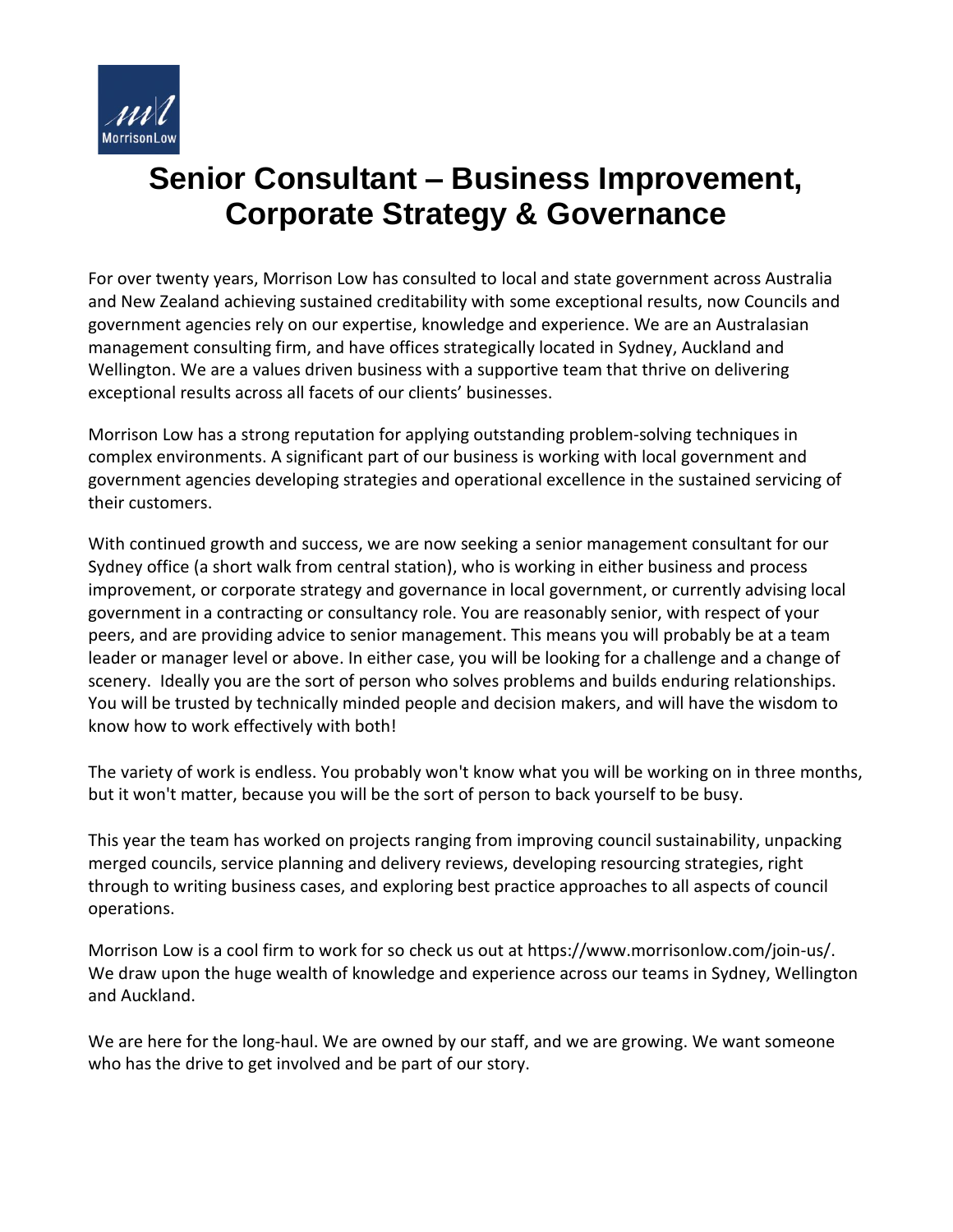

## **Senior Consultant – Business Improvement, Corporate Strategy & Governance**

For over twenty years, Morrison Low has consulted to local and state government across Australia and New Zealand achieving sustained creditability with some exceptional results, now Councils and government agencies rely on our expertise, knowledge and experience. We are an Australasian management consulting firm, and have offices strategically located in Sydney, Auckland and Wellington. We are a values driven business with a supportive team that thrive on delivering exceptional results across all facets of our clients' businesses.

Morrison Low has a strong reputation for applying outstanding problem-solving techniques in complex environments. A significant part of our business is working with local government and government agencies developing strategies and operational excellence in the sustained servicing of their customers.

With continued growth and success, we are now seeking a senior management consultant for our Sydney office (a short walk from central station), who is working in either business and process improvement, or corporate strategy and governance in local government, or currently advising local government in a contracting or consultancy role. You are reasonably senior, with respect of your peers, and are providing advice to senior management. This means you will probably be at a team leader or manager level or above. In either case, you will be looking for a challenge and a change of scenery. Ideally you are the sort of person who solves problems and builds enduring relationships. You will be trusted by technically minded people and decision makers, and will have the wisdom to know how to work effectively with both!

The variety of work is endless. You probably won't know what you will be working on in three months, but it won't matter, because you will be the sort of person to back yourself to be busy.

This year the team has worked on projects ranging from improving council sustainability, unpacking merged councils, service planning and delivery reviews, developing resourcing strategies, right through to writing business cases, and exploring best practice approaches to all aspects of council operations.

Morrison Low is a cool firm to work for so check us out at [https://www.morrisonlow.com/join-us/.](https://www.morrisonlow.com/join-us/) We draw upon the huge wealth of knowledge and experience across our teams in Sydney, Wellington and Auckland.

We are here for the long-haul. We are owned by our staff, and we are growing. We want someone who has the drive to get involved and be part of our story.